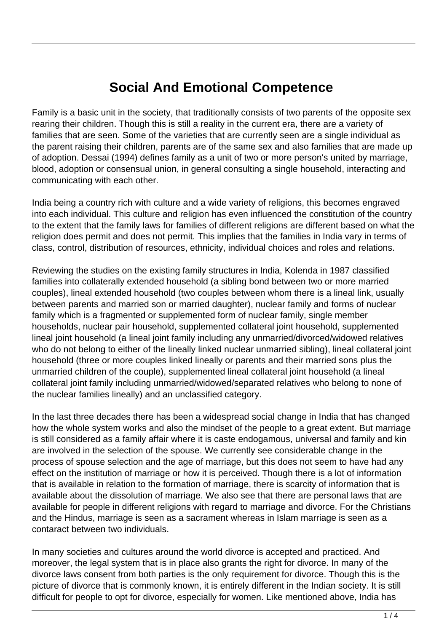## **Social And Emotional Competence**

Family is a basic unit in the society, that traditionally consists of two parents of the opposite sex rearing their children. Though this is still a reality in the current era, there are a variety of families that are seen. Some of the varieties that are currently seen are a single individual as the parent raising their children, parents are of the same sex and also families that are made up of adoption. Dessai (1994) defines family as a unit of two or more person's united by marriage, blood, adoption or consensual union, in general consulting a single household, interacting and communicating with each other.

India being a country rich with culture and a wide variety of religions, this becomes engraved into each individual. This culture and religion has even influenced the constitution of the country to the extent that the family laws for families of different religions are different based on what the religion does permit and does not permit. This implies that the families in India vary in terms of class, control, distribution of resources, ethnicity, individual choices and roles and relations.

Reviewing the studies on the existing family structures in India, Kolenda in 1987 classified families into collaterally extended household (a sibling bond between two or more married couples), lineal extended household (two couples between whom there is a lineal link, usually between parents and married son or married daughter), nuclear family and forms of nuclear family which is a fragmented or supplemented form of nuclear family, single member households, nuclear pair household, supplemented collateral joint household, supplemented lineal joint household (a lineal joint family including any unmarried/divorced/widowed relatives who do not belong to either of the lineally linked nuclear unmarried sibling), lineal collateral joint household (three or more couples linked lineally or parents and their married sons plus the unmarried children of the couple), supplemented lineal collateral joint household (a lineal collateral joint family including unmarried/widowed/separated relatives who belong to none of the nuclear families lineally) and an unclassified category.

In the last three decades there has been a widespread social change in India that has changed how the whole system works and also the mindset of the people to a great extent. But marriage is still considered as a family affair where it is caste endogamous, universal and family and kin are involved in the selection of the spouse. We currently see considerable change in the process of spouse selection and the age of marriage, but this does not seem to have had any effect on the institution of marriage or how it is perceived. Though there is a lot of information that is available in relation to the formation of marriage, there is scarcity of information that is available about the dissolution of marriage. We also see that there are personal laws that are available for people in different religions with regard to marriage and divorce. For the Christians and the Hindus, marriage is seen as a sacrament whereas in Islam marriage is seen as a contaract between two individuals.

In many societies and cultures around the world divorce is accepted and practiced. And moreover, the legal system that is in place also grants the right for divorce. In many of the divorce laws consent from both parties is the only requirement for divorce. Though this is the picture of divorce that is commonly known, it is entirely different in the Indian society. It is still difficult for people to opt for divorce, especially for women. Like mentioned above, India has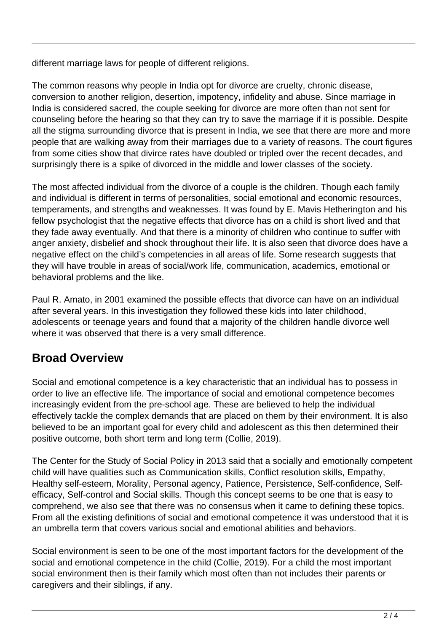different marriage laws for people of different religions.

The common reasons why people in India opt for divorce are cruelty, chronic disease, conversion to another religion, desertion, impotency, infidelity and abuse. Since marriage in India is considered sacred, the couple seeking for divorce are more often than not sent for counseling before the hearing so that they can try to save the marriage if it is possible. Despite all the stigma surrounding divorce that is present in India, we see that there are more and more people that are walking away from their marriages due to a variety of reasons. The court figures from some cities show that divirce rates have doubled or tripled over the recent decades, and surprisingly there is a spike of divorced in the middle and lower classes of the society.

The most affected individual from the divorce of a couple is the children. Though each family and individual is different in terms of personalities, social emotional and economic resources, temperaments, and strengths and weaknesses. It was found by E. Mavis Hetherington and his fellow psychologist that the negative effects that divorce has on a child is short lived and that they fade away eventually. And that there is a minority of children who continue to suffer with anger anxiety, disbelief and shock throughout their life. It is also seen that divorce does have a negative effect on the child's competencies in all areas of life. Some research suggests that they will have trouble in areas of social/work life, communication, academics, emotional or behavioral problems and the like.

Paul R. Amato, in 2001 examined the possible effects that divorce can have on an individual after several years. In this investigation they followed these kids into later childhood, adolescents or teenage years and found that a majority of the children handle divorce well where it was observed that there is a very small difference.

## **Broad Overview**

Social and emotional competence is a key characteristic that an individual has to possess in order to live an effective life. The importance of social and emotional competence becomes increasingly evident from the pre-school age. These are believed to help the individual effectively tackle the complex demands that are placed on them by their environment. It is also believed to be an important goal for every child and adolescent as this then determined their positive outcome, both short term and long term (Collie, 2019).

The Center for the Study of Social Policy in 2013 said that a socially and emotionally competent child will have qualities such as Communication skills, Conflict resolution skills, Empathy, Healthy self-esteem, Morality, Personal agency, Patience, Persistence, Self-confidence, Selfefficacy, Self-control and Social skills. Though this concept seems to be one that is easy to comprehend, we also see that there was no consensus when it came to defining these topics. From all the existing definitions of social and emotional competence it was understood that it is an umbrella term that covers various social and emotional abilities and behaviors.

Social environment is seen to be one of the most important factors for the development of the social and emotional competence in the child (Collie, 2019). For a child the most important social environment then is their family which most often than not includes their parents or caregivers and their siblings, if any.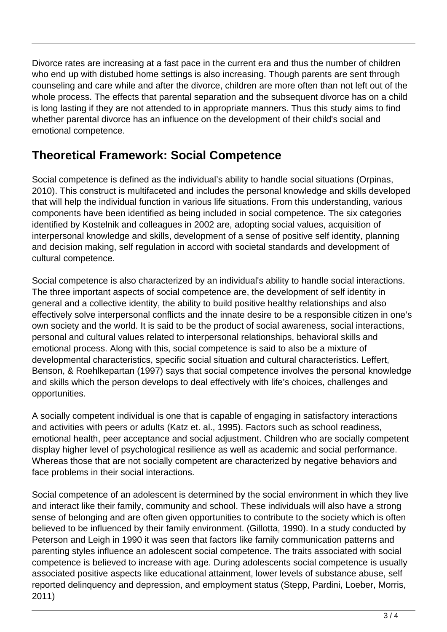Divorce rates are increasing at a fast pace in the current era and thus the number of children who end up with distubed home settings is also increasing. Though parents are sent through counseling and care while and after the divorce, children are more often than not left out of the whole process. The effects that parental separation and the subsequent divorce has on a child is long lasting if they are not attended to in appropriate manners. Thus this study aims to find whether parental divorce has an influence on the development of their child's social and emotional competence.

## **Theoretical Framework: Social Competence**

Social competence is defined as the individual's ability to handle social situations (Orpinas, 2010). This construct is multifaceted and includes the personal knowledge and skills developed that will help the individual function in various life situations. From this understanding, various components have been identified as being included in social competence. The six categories identified by Kostelnik and colleagues in 2002 are, adopting social values, acquisition of interpersonal knowledge and skills, development of a sense of positive self identity, planning and decision making, self regulation in accord with societal standards and development of cultural competence.

Social competence is also characterized by an individual's ability to handle social interactions. The three important aspects of social competence are, the development of self identity in general and a collective identity, the ability to build positive healthy relationships and also effectively solve interpersonal conflicts and the innate desire to be a responsible citizen in one's own society and the world. It is said to be the product of social awareness, social interactions, personal and cultural values related to interpersonal relationships, behavioral skills and emotional process. Along with this, social competence is said to also be a mixture of developmental characteristics, specific social situation and cultural characteristics. Leffert, Benson, & Roehlkepartan (1997) says that social competence involves the personal knowledge and skills which the person develops to deal effectively with life's choices, challenges and opportunities.

A socially competent individual is one that is capable of engaging in satisfactory interactions and activities with peers or adults (Katz et. al., 1995). Factors such as school readiness, emotional health, peer acceptance and social adjustment. Children who are socially competent display higher level of psychological resilience as well as academic and social performance. Whereas those that are not socially competent are characterized by negative behaviors and face problems in their social interactions.

Social competence of an adolescent is determined by the social environment in which they live and interact like their family, community and school. These individuals will also have a strong sense of belonging and are often given opportunities to contribute to the society which is often believed to be influenced by their family environment. (Gillotta, 1990). In a study conducted by Peterson and Leigh in 1990 it was seen that factors like family communication patterns and parenting styles influence an adolescent social competence. The traits associated with social competence is believed to increase with age. During adolescents social competence is usually associated positive aspects like educational attainment, lower levels of substance abuse, self reported delinquency and depression, and employment status (Stepp, Pardini, Loeber, Morris, 2011)